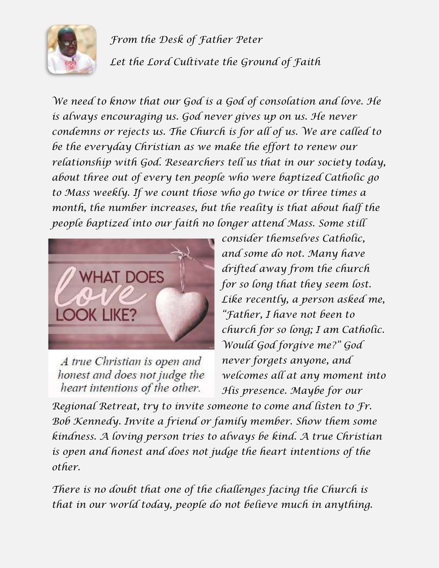

*From the Desk of Father Peter Let the Lord Cultivate the Ground of Faith*

*We need to know that our God is a God of consolation and love. He is always encouraging us. God never gives up on us. He never condemns or rejects us. The Church is for all of us. We are called to be the everyday Christian as we make the effort to renew our relationship with God. Researchers tell us that in our society today, about three out of every ten people who were baptized Catholic go to Mass weekly. If we count those who go twice or three times a month, the number increases, but the reality is that about half the people baptized into our faith no longer attend Mass. Some still*



A true Christian is open and honest and does not judge the heart intentions of the other.

*consider themselves Catholic, and some do not. Many have drifted away from the church for so long that they seem lost. Like recently, a person asked me, "Father, I have not been to church for so long; I am Catholic. Would God forgive me?" God never forgets anyone, and welcomes all at any moment into His presence. Maybe for our*

*Regional Retreat, try to invite someone to come and listen to Fr. Bob Kennedy. Invite a friend or family member. Show them some kindness. A loving person tries to always be kind. A true Christian is open and honest and does not judge the heart intentions of the other.*

*There is no doubt that one of the challenges facing the Church is that in our world today, people do not believe much in anything.*